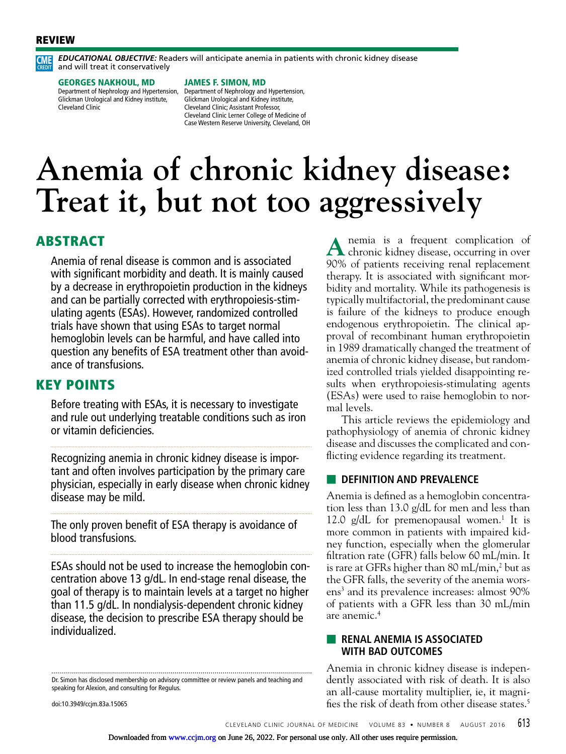#### REVIEW



*EDUCATIONAL OBJECTIVE:* Readers will anticipate anemia in patients with chronic kidney disease and will treat it conservatively

#### GEORGES NAKHOUL, MD

Glickman Urological and Kidney institute, Cleveland Clinic

#### JAMES F. SIMON, MD

Department of Nephrology and Hypertension, Department of Nephrology and Hypertension, Glickman Urological and Kidney institute, Cleveland Clinic; Assistant Professor, Cleveland Clinic Lerner College of Medicine of Case Western Reserve University, Cleveland, OH

# **Anemia of chronic kidney disease: Treat it, but not too aggressively**

### ABSTRACT

Anemia of renal disease is common and is associated with significant morbidity and death. It is mainly caused by a decrease in erythropoietin production in the kidneys and can be partially corrected with erythropoiesis-stimulating agents (ESAs). However, randomized controlled trials have shown that using ESAs to target normal hemoglobin levels can be harmful, and have called into question any benefits of ESA treatment other than avoidance of transfusions.

#### KEY POINTS

Before treating with ESAs, it is necessary to investigate and rule out underlying treatable conditions such as iron or vitamin deficiencies.

Recognizing anemia in chronic kidney disease is important and often involves participation by the primary care physician, especially in early disease when chronic kidney disease may be mild.

The only proven benefit of ESA therapy is avoidance of blood transfusions.

ESAs should not be used to increase the hemoglobin concentration above 13 g/dL. In end-stage renal disease, the goal of therapy is to maintain levels at a target no higher than 11.5 g/dL. In nondialysis-dependent chronic kidney disease, the decision to prescribe ESA therapy should be individualized.

Dr. Simon has disclosed membership on advisory committee or review panels and teaching and speaking for Alexion, and consulting for Regulus.

doi:10.3949/ccjm.83a.15065

A nemia is a frequent complication of chronic kidney disease, occurring in over 90% of patients receiving renal replacement therapy. It is associated with significant morbidity and mortality. While its pathogenesis is typically multifactorial, the predominant cause is failure of the kidneys to produce enough endogenous erythropoietin. The clinical approval of recombinant human erythropoietin in 1989 dramatically changed the treatment of anemia of chronic kidney disease, but randomized controlled trials yielded disappointing results when erythropoiesis-stimulating agents (ESAs) were used to raise hemoglobin to normal levels.

This article reviews the epidemiology and pathophysiology of anemia of chronic kidney disease and discusses the complicated and conflicting evidence regarding its treatment.

#### **EDEFINITION AND PREVALENCE**

Anemia is defined as a hemoglobin concentration less than 13.0 g/dL for men and less than 12.0  $g/dL$  for premenopausal women.<sup>1</sup> It is more common in patients with impaired kidney function, especially when the glomerular filtration rate (GFR) falls below 60 mL/min. It is rare at GFRs higher than 80 mL/min,<sup>2</sup> but as the GFR falls, the severity of the anemia worsens<sup>3</sup> and its prevalence increases: almost 90% of patients with a GFR less than 30 mL/min are anemic.4

#### ■ **RENAL ANEMIA IS ASSOCIATED WITH BAD OUTCOMES**

Anemia in chronic kidney disease is independently associated with risk of death. It is also an all-cause mortality multiplier, ie, it magnifies the risk of death from other disease states.5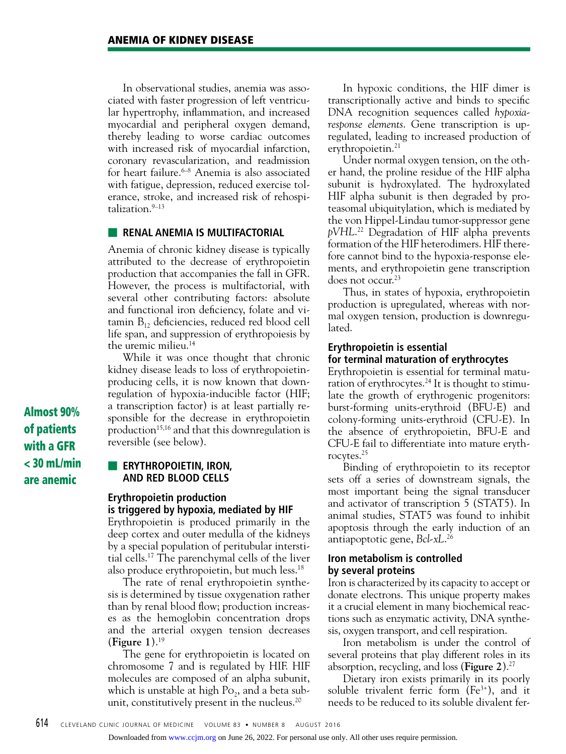In observational studies, anemia was associated with faster progression of left ventricular hypertrophy, inflammation, and increased myocardial and peripheral oxygen demand, thereby leading to worse cardiac outcomes with increased risk of myocardial infarction, coronary revascularization, and readmission for heart failure.<sup>6–8</sup> Anemia is also associated with fatigue, depression, reduced exercise tolerance, stroke, and increased risk of rehospi $talization.<sup>9-13</sup>$ 

#### **EXECUTE: RENAL ANEMIA IS MULTIFACTORIAL**

Anemia of chronic kidney disease is typically attributed to the decrease of erythropoietin production that accompanies the fall in GFR. However, the process is multifactorial, with several other contributing factors: absolute and functional iron deficiency, folate and vitamin  $B_{12}$  deficiencies, reduced red blood cell life span, and suppression of erythropoiesis by the uremic milieu.14

While it was once thought that chronic kidney disease leads to loss of erythropoietinproducing cells, it is now known that downregulation of hypoxia-inducible factor (HIF; a transcription factor) is at least partially responsible for the decrease in erythropoietin production<sup>15,16</sup> and that this downregulation is reversible (see below).

**ERYTHROPOIETIN, IRON, AND RED BLOOD CELLS**

#### **Erythropoietin production is triggered by hypoxia, mediated by HIF**

Erythropoietin is produced primarily in the deep cortex and outer medulla of the kidneys by a special population of peritubular interstitial cells.17 The parenchymal cells of the liver also produce erythropoietin, but much less.18

The rate of renal erythropoietin synthesis is determined by tissue oxygenation rather than by renal blood flow; production increases as the hemoglobin concentration drops and the arterial oxygen tension decreases (**Figure 1**).19

The gene for erythropoietin is located on chromosome 7 and is regulated by HIF. HIF molecules are composed of an alpha subunit, which is unstable at high  $Po_2$ , and a beta subunit, constitutively present in the nucleus.<sup>20</sup>

In hypoxic conditions, the HIF dimer is transcriptionally active and binds to specific DNA recognition sequences called *hypoxiaresponse elements*. Gene transcription is upregulated, leading to increased production of erythropoietin.<sup>21</sup>

Under normal oxygen tension, on the other hand, the proline residue of the HIF alpha subunit is hydroxylated. The hydroxylated HIF alpha subunit is then degraded by proteasomal ubiquitylation, which is mediated by the von Hippel-Lindau tumor-suppressor gene *pVHL*. 22 Degradation of HIF alpha prevents formation of the HIF heterodimers. HIF therefore cannot bind to the hypoxia-response elements, and erythropoietin gene transcription does not occur.<sup>23</sup>

Thus, in states of hypoxia, erythropoietin production is upregulated, whereas with normal oxygen tension, production is downregulated.

#### **Erythropoietin is essential for terminal maturation of erythrocytes**

Erythropoietin is essential for terminal maturation of erythrocytes.<sup>24</sup> It is thought to stimulate the growth of erythrogenic progenitors: burst-forming units-erythroid (BFU-E) and colony-forming units-erythroid (CFU-E). In the absence of erythropoietin, BFU-E and CFU-E fail to differentiate into mature erythrocytes.25

Binding of erythropoietin to its receptor sets off a series of downstream signals, the most important being the signal transducer and activator of transcription 5 (STAT5). In animal studies, STAT5 was found to inhibit apoptosis through the early induction of an antiapoptotic gene, *Bcl-xL*. 26

#### **Iron metabolism is controlled by several proteins**

Iron is characterized by its capacity to accept or donate electrons. This unique property makes it a crucial element in many biochemical reactions such as enzymatic activity, DNA synthesis, oxygen transport, and cell respiration.

Iron metabolism is under the control of several proteins that play different roles in its absorption, recycling, and loss (**Figure 2**).27

Dietary iron exists primarily in its poorly soluble trivalent ferric form  $(Fe^{3+})$ , and it needs to be reduced to its soluble divalent fer-

Almost 90% of patients with a GFR < 30 mL/min are anemic

Downloaded from [www.ccjm.org](http://www.ccjm.org/) on June 26, 2022. For personal use only. All other uses require permission.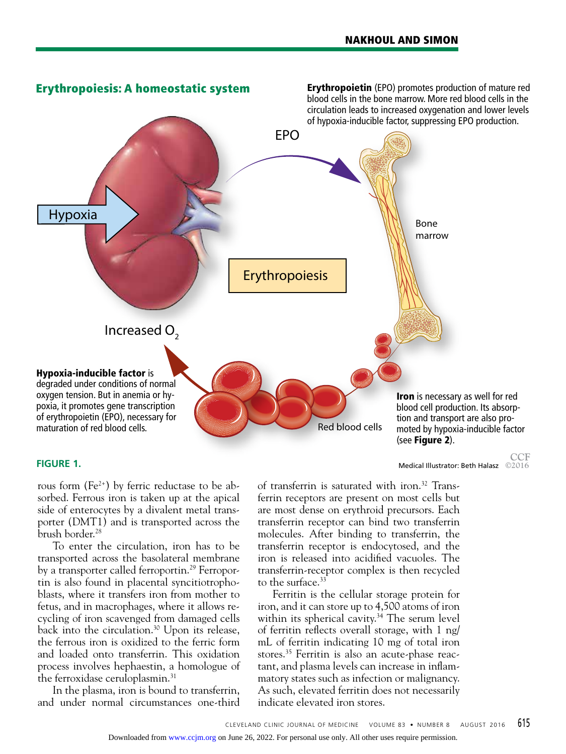

rous form  $(Fe^{2+})$  by ferric reductase to be absorbed. Ferrous iron is taken up at the apical side of enterocytes by a divalent metal transporter (DMT1) and is transported across the brush border.28

To enter the circulation, iron has to be transported across the basolateral membrane by a transporter called ferroportin.<sup>29</sup> Ferroportin is also found in placental syncitiotrophoblasts, where it transfers iron from mother to fetus, and in macrophages, where it allows recycling of iron scavenged from damaged cells back into the circulation.<sup>30</sup> Upon its release, the ferrous iron is oxidized to the ferric form and loaded onto transferrin. This oxidation process involves hephaestin, a homologue of the ferroxidase ceruloplasmin.<sup>31</sup>

In the plasma, iron is bound to transferrin, and under normal circumstances one-third

**FIGURE 1.** Medical Illustrator: Beth Halasz  $\bigcirc$  2016

of transferrin is saturated with iron.32 Transferrin receptors are present on most cells but are most dense on erythroid precursors. Each transferrin receptor can bind two transferrin molecules. After binding to transferrin, the transferrin receptor is endocytosed, and the iron is released into acidified vacuoles. The transferrin-receptor complex is then recycled to the surface.<sup>33</sup>

Ferritin is the cellular storage protein for iron, and it can store up to 4,500 atoms of iron within its spherical cavity. 34 The serum level of ferritin reflects overall storage, with 1 ng/ mL of ferritin indicating 10 mg of total iron stores.35 Ferritin is also an acute-phase reactant, and plasma levels can increase in inflammatory states such as infection or malignancy. As such, elevated ferritin does not necessarily indicate elevated iron stores.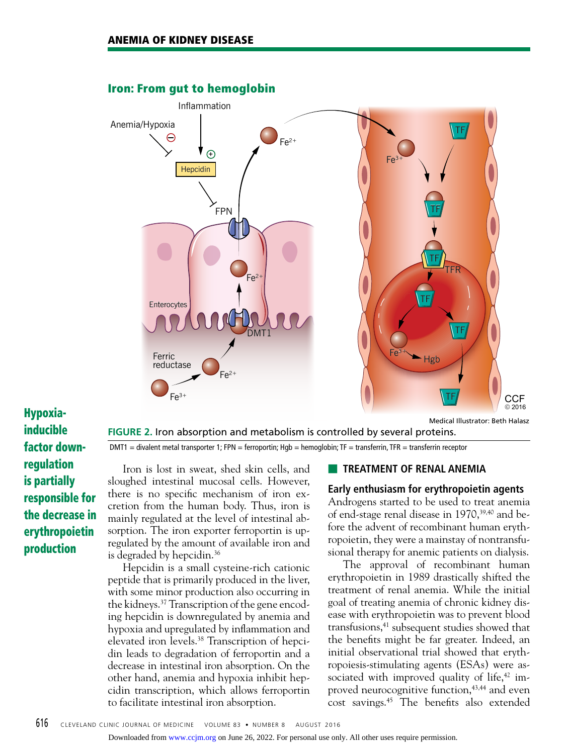

## inducible factor downregulation is partially responsible for the decrease in erythropoietin production

**FIGURE 2.** Iron absorption and metabolism is controlled by several proteins.  $DMT1 =$  divalent metal transporter 1; FPN = ferroportin; Hgb = hemoglobin; TF = transferrin, TFR = transferrin receptor

Iron is lost in sweat, shed skin cells, and sloughed intestinal mucosal cells. However, there is no specific mechanism of iron excretion from the human body. Thus, iron is mainly regulated at the level of intestinal absorption. The iron exporter ferroportin is upregulated by the amount of available iron and is degraded by hepcidin.36

Hepcidin is a small cysteine-rich cationic peptide that is primarily produced in the liver, with some minor production also occurring in the kidneys.37 Transcription of the gene encoding hepcidin is downregulated by anemia and hypoxia and upregulated by inflammation and elevated iron levels.38 Transcription of hepcidin leads to degradation of ferroportin and a decrease in intestinal iron absorption. On the other hand, anemia and hypoxia inhibit hepcidin transcription, which allows ferroportin to facilitate intestinal iron absorption.

#### **EXTREATMENT OF RENAL ANEMIA**

#### **Early enthusiasm for erythropoietin agents**

Androgens started to be used to treat anemia of end-stage renal disease in  $1970$ ,  $39,40$  and before the advent of recombinant human erythropoietin, they were a mainstay of nontransfusional therapy for anemic patients on dialysis.

The approval of recombinant human erythropoietin in 1989 drastically shifted the treatment of renal anemia. While the initial goal of treating anemia of chronic kidney disease with erythropoietin was to prevent blood transfusions,<sup>41</sup> subsequent studies showed that the benefits might be far greater. Indeed, an initial observational trial showed that erythropoiesis-stimulating agents (ESAs) were associated with improved quality of life, $42 \text{ im}$ proved neurocognitive function,<sup>43,44</sup> and even cost savings.45 The benefits also extended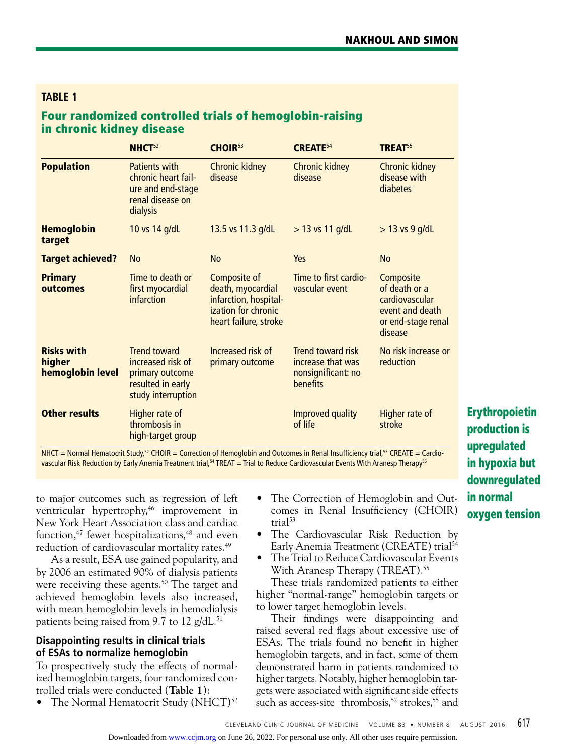#### **TABLE 1**

#### Four randomized controlled trials of hemoglobin-raising in chronic kidney disease

|                                                 | NHCT <sup>52</sup>                                                                                     | CHOIR <sup>53</sup>                                                                                        | <b>CREATE</b> <sup>54</sup>                                                     | TREAT <sup>55</sup>                                                                              |
|-------------------------------------------------|--------------------------------------------------------------------------------------------------------|------------------------------------------------------------------------------------------------------------|---------------------------------------------------------------------------------|--------------------------------------------------------------------------------------------------|
| <b>Population</b>                               | Patients with<br>chronic heart fail-<br>ure and end-stage<br>renal disease on<br>dialysis              | <b>Chronic kidney</b><br>disease                                                                           | <b>Chronic kidney</b><br>disease                                                | <b>Chronic kidney</b><br>disease with<br>diabetes                                                |
| <b>Hemoglobin</b><br>target                     | 10 vs 14 g/dL                                                                                          | 13.5 vs 11.3 g/dL                                                                                          | $>$ 13 vs 11 g/dL                                                               | $>$ 13 vs 9 g/dL                                                                                 |
| <b>Target achieved?</b>                         | <b>No</b>                                                                                              | <b>No</b>                                                                                                  | Yes                                                                             | <b>No</b>                                                                                        |
| <b>Primary</b><br>outcomes                      | Time to death or<br>first myocardial<br>infarction                                                     | Composite of<br>death, myocardial<br>infarction, hospital-<br>ization for chronic<br>heart failure, stroke | Time to first cardio-<br>vascular event                                         | Composite<br>of death or a<br>cardiovascular<br>event and death<br>or end-stage renal<br>disease |
| <b>Risks with</b><br>higher<br>hemoglobin level | <b>Trend toward</b><br>increased risk of<br>primary outcome<br>resulted in early<br>study interruption | Increased risk of<br>primary outcome                                                                       | <b>Trend toward risk</b><br>increase that was<br>nonsignificant: no<br>benefits | No risk increase or<br>reduction                                                                 |
| <b>Other results</b>                            | Higher rate of<br>thrombosis in<br>high-target group                                                   |                                                                                                            | Improved quality<br>of life                                                     | Higher rate of<br>stroke                                                                         |

NHCT = Normal Hematocrit Study,<sup>52</sup> CHOIR = Correction of Hemoglobin and Outcomes in Renal Insufficiency trial,<sup>53</sup> CREATE = Cardiovascular Risk Reduction by Early Anemia Treatment trial,<sup>54</sup> TREAT = Trial to Reduce Cardiovascular Events With Aranesp Therapy<sup>55</sup>

to major outcomes such as regression of left ventricular hypertrophy,<sup>46</sup> improvement in New York Heart Association class and cardiac function,<sup>47</sup> fewer hospitalizations,<sup>48</sup> and even reduction of cardiovascular mortality rates.<sup>49</sup>

As a result, ESA use gained popularity, and by 2006 an estimated 90% of dialysis patients were receiving these agents.<sup>50</sup> The target and achieved hemoglobin levels also increased, with mean hemoglobin levels in hemodialysis patients being raised from 9.7 to 12  $g/dL$ .<sup>51</sup>

#### **Disappointing results in clinical trials of ESAs to normalize hemoglobin**

To prospectively study the effects of normalized hemoglobin targets, four randomized controlled trials were conducted (**Table 1**):

• The Normal Hematocrit Study (NHCT)<sup>52</sup>

- The Correction of Hemoglobin and Outcomes in Renal Insufficiency (CHOIR) trial<sup>53</sup>
- The Cardiovascular Risk Reduction by Early Anemia Treatment (CREATE) trial<sup>54</sup>
	- The Trial to Reduce Cardiovascular Events With Aranesp Therapy (TREAT).<sup>55</sup>

These trials randomized patients to either higher "normal-range" hemoglobin targets or to lower target hemoglobin levels.

Their findings were disappointing and raised several red flags about excessive use of ESAs. The trials found no benefit in higher hemoglobin targets, and in fact, some of them demonstrated harm in patients randomized to higher targets. Notably, higher hemoglobin targets were associated with significant side effects such as access-site thrombosis,<sup>52</sup> strokes,<sup>55</sup> and

Erythropoietin production is upregulated in hypoxia but downregulated in normal oxygen tension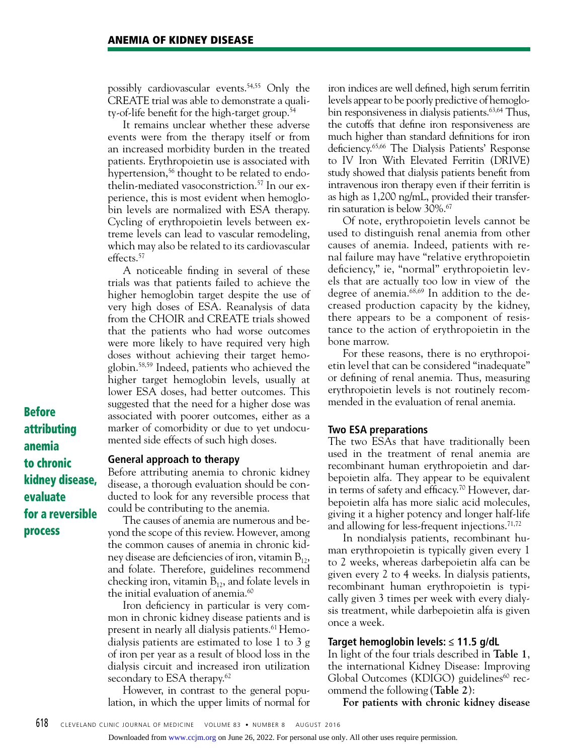possibly cardiovascular events.54,55 Only the CREATE trial was able to demonstrate a quality-of-life benefit for the high-target group.<sup>54</sup>

It remains unclear whether these adverse events were from the therapy itself or from an increased morbidity burden in the treated patients. Erythropoietin use is associated with hypertension,<sup>56</sup> thought to be related to endothelin-mediated vasoconstriction.57 In our experience, this is most evident when hemoglobin levels are normalized with ESA therapy. Cycling of erythropoietin levels between extreme levels can lead to vascular remodeling, which may also be related to its cardiovascular effects.<sup>57</sup>

A noticeable finding in several of these trials was that patients failed to achieve the higher hemoglobin target despite the use of very high doses of ESA. Reanalysis of data from the CHOIR and CREATE trials showed that the patients who had worse outcomes were more likely to have required very high doses without achieving their target hemoglobin.58,59 Indeed, patients who achieved the higher target hemoglobin levels, usually at lower ESA doses, had better outcomes. This suggested that the need for a higher dose was associated with poorer outcomes, either as a marker of comorbidity or due to yet undocumented side effects of such high doses.

Before attributing anemia to chronic kidney disease, evaluate for a reversible process

#### **General approach to therapy**

Before attributing anemia to chronic kidney disease, a thorough evaluation should be conducted to look for any reversible process that could be contributing to the anemia.

The causes of anemia are numerous and beyond the scope of this review. However, among the common causes of anemia in chronic kidney disease are deficiencies of iron, vitamin  $B_{12}$ , and folate. Therefore, guidelines recommend checking iron, vitamin  $B_{12}$ , and folate levels in the initial evaluation of anemia.<sup>60</sup>

Iron deficiency in particular is very common in chronic kidney disease patients and is present in nearly all dialysis patients.<sup>61</sup> Hemodialysis patients are estimated to lose 1 to 3 g of iron per year as a result of blood loss in the dialysis circuit and increased iron utilization secondary to ESA therapy. $62$ 

However, in contrast to the general population, in which the upper limits of normal for

iron indices are well defined, high serum ferritin levels appear to be poorly predictive of hemoglobin responsiveness in dialysis patients.<sup>63,64</sup> Thus, the cutoffs that define iron responsiveness are much higher than standard definitions for iron deficiency.65,66 The Dialysis Patients' Response to IV Iron With Elevated Ferritin (DRIVE) study showed that dialysis patients benefit from intravenous iron therapy even if their ferritin is as high as 1,200 ng/mL, provided their transferrin saturation is below 30%.67

Of note, erythropoietin levels cannot be used to distinguish renal anemia from other causes of anemia. Indeed, patients with renal failure may have "relative erythropoietin deficiency," ie, "normal" erythropoietin levels that are actually too low in view of the degree of anemia.68,69 In addition to the decreased production capacity by the kidney, there appears to be a component of resistance to the action of erythropoietin in the bone marrow.

For these reasons, there is no erythropoietin level that can be considered "inadequate" or defining of renal anemia. Thus, measuring erythropoietin levels is not routinely recommended in the evaluation of renal anemia.

#### **Two ESA preparations**

The two ESAs that have traditionally been used in the treatment of renal anemia are recombinant human erythropoietin and darbepoietin alfa. They appear to be equivalent in terms of safety and efficacy.70 However, darbepoietin alfa has more sialic acid molecules, giving it a higher potency and longer half-life and allowing for less-frequent injections.<sup> $71,72$ </sup>

In nondialysis patients, recombinant human erythropoietin is typically given every 1 to 2 weeks, whereas darbepoietin alfa can be given every 2 to 4 weeks. In dialysis patients, recombinant human erythropoietin is typically given 3 times per week with every dialysis treatment, while darbepoietin alfa is given once a week.

#### **Target hemoglobin levels: ≤ 11.5 g/dL**

In light of the four trials described in **Table 1**, the international Kidney Disease: Improving Global Outcomes (KDIGO) guidelines $\omega$  recommend the following (**Table 2**):

**For patients with chronic kidney disease**

Downloaded from [www.ccjm.org](http://www.ccjm.org/) on June 26, 2022. For personal use only. All other uses require permission.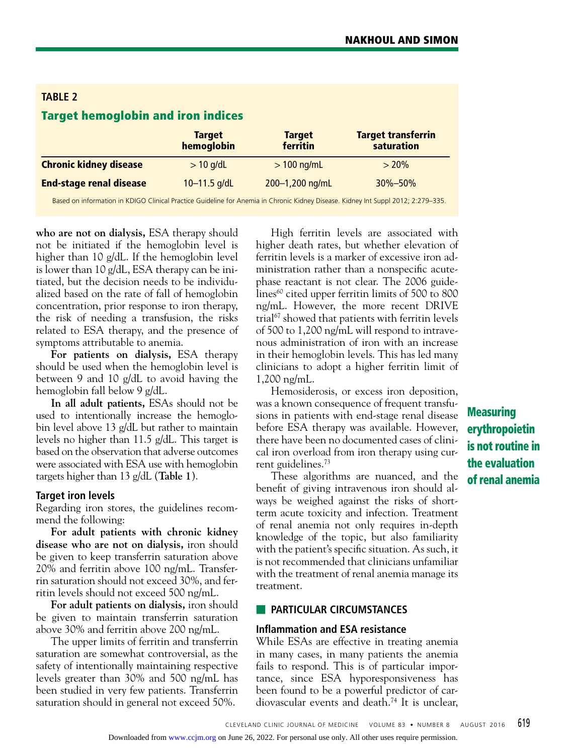| <b>TABLE 2</b>                            |                             |                           |                                         |  |  |  |  |
|-------------------------------------------|-----------------------------|---------------------------|-----------------------------------------|--|--|--|--|
| <b>Target hemoglobin and iron indices</b> |                             |                           |                                         |  |  |  |  |
|                                           | <b>Target</b><br>hemoglobin | <b>Target</b><br>ferritin | <b>Target transferrin</b><br>saturation |  |  |  |  |
| <b>Chronic kidney disease</b>             | $> 10$ g/dL                 | $> 100$ ng/mL             | $> 20\%$                                |  |  |  |  |
| <b>End-stage renal disease</b>            | 10-11.5 g/dL                | 200-1,200 ng/mL           | $30\% - 50\%$                           |  |  |  |  |

Based on information in KDIGO Clinical Practice Guideline for Anemia in Chronic Kidney Disease. Kidney Int Suppl 2012; 2:279–335.

**who are not on dialysis,** ESA therapy should not be initiated if the hemoglobin level is higher than 10 g/dL. If the hemoglobin level is lower than 10 g/dL, ESA therapy can be initiated, but the decision needs to be individualized based on the rate of fall of hemoglobin concentration, prior response to iron therapy, the risk of needing a transfusion, the risks related to ESA therapy, and the presence of symptoms attributable to anemia.

**For patients on dialysis,** ESA therapy should be used when the hemoglobin level is between 9 and 10 g/dL to avoid having the hemoglobin fall below 9 g/dL.

**In all adult patients,** ESAs should not be used to intentionally increase the hemoglobin level above 13 g/dL but rather to maintain levels no higher than 11.5 g/dL. This target is based on the observation that adverse outcomes were associated with ESA use with hemoglobin targets higher than 13 g/dL (**Table 1**).

#### **Target iron levels**

Regarding iron stores, the guidelines recommend the following:

**For adult patients with chronic kidney disease who are not on dialysis,** iron should be given to keep transferrin saturation above 20% and ferritin above 100 ng/mL. Transferrin saturation should not exceed 30%, and ferritin levels should not exceed 500 ng/mL.

**For adult patients on dialysis,** iron should be given to maintain transferrin saturation above 30% and ferritin above 200 ng/mL.

The upper limits of ferritin and transferrin saturation are somewhat controversial, as the safety of intentionally maintaining respective levels greater than 30% and 500 ng/mL has been studied in very few patients. Transferrin saturation should in general not exceed 50%.

High ferritin levels are associated with higher death rates, but whether elevation of ferritin levels is a marker of excessive iron administration rather than a nonspecific acutephase reactant is not clear. The 2006 guidelines $60$  cited upper ferritin limits of 500 to 800 ng/mL. However, the more recent DRIVE trial<sup>67</sup> showed that patients with ferritin levels of 500 to 1,200 ng/mL will respond to intravenous administration of iron with an increase in their hemoglobin levels. This has led many clinicians to adopt a higher ferritin limit of 1,200 ng/mL.

Hemosiderosis, or excess iron deposition, was a known consequence of frequent transfusions in patients with end-stage renal disease before ESA therapy was available. However, there have been no documented cases of clinical iron overload from iron therapy using current guidelines.73

These algorithms are nuanced, and the benefit of giving intravenous iron should always be weighed against the risks of shortterm acute toxicity and infection. Treatment of renal anemia not only requires in-depth knowledge of the topic, but also familiarity with the patient's specific situation. As such, it is not recommended that clinicians unfamiliar with the treatment of renal anemia manage its treatment.

#### ■ **PARTICULAR CIRCUMSTANCES**

#### **Inflammation and ESA resistance**

While ESAs are effective in treating anemia in many cases, in many patients the anemia fails to respond. This is of particular importance, since ESA hyporesponsiveness has been found to be a powerful predictor of cardiovascular events and death.74 It is unclear,

Measuring erythropoietin is not routine in the evaluation of renal anemia

Downloaded from [www.ccjm.org](http://www.ccjm.org/) on June 26, 2022. For personal use only. All other uses require permission.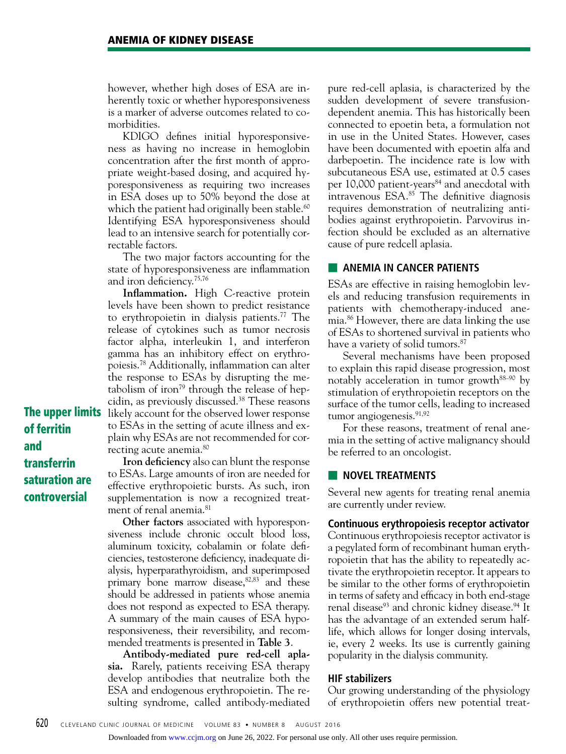however, whether high doses of ESA are inherently toxic or whether hyporesponsiveness is a marker of adverse outcomes related to comorbidities.

KDIGO defines initial hyporesponsiveness as having no increase in hemoglobin concentration after the first month of appropriate weight-based dosing, and acquired hyporesponsiveness as requiring two increases in ESA doses up to 50% beyond the dose at which the patient had originally been stable. $60$ Identifying ESA hyporesponsiveness should lead to an intensive search for potentially correctable factors.

The two major factors accounting for the state of hyporesponsiveness are inflammation and iron deficiency.75,76

**The upper limits** likely account for the observed lower response **Inflammation.** High C-reactive protein levels have been shown to predict resistance to erythropoietin in dialysis patients.77 The release of cytokines such as tumor necrosis factor alpha, interleukin 1, and interferon gamma has an inhibitory effect on erythropoiesis.78 Additionally, inflammation can alter the response to ESAs by disrupting the metabolism of iron<sup>79</sup> through the release of hepcidin, as previously discussed.<sup>38</sup> These reasons to ESAs in the setting of acute illness and explain why ESAs are not recommended for correcting acute anemia.80

of ferritin and transferrin saturation are controversial

**Iron deficiency** also can blunt the response to ESAs. Large amounts of iron are needed for effective erythropoietic bursts. As such, iron supplementation is now a recognized treatment of renal anemia.<sup>81</sup>

**Other factors** associated with hyporesponsiveness include chronic occult blood loss, aluminum toxicity, cobalamin or folate deficiencies, testosterone deficiency, inadequate dialysis, hyperparathyroidism, and superimposed primary bone marrow disease, $82,83$  and these should be addressed in patients whose anemia does not respond as expected to ESA therapy. A summary of the main causes of ESA hyporesponsiveness, their reversibility, and recommended treatments is presented in **Table 3**.

**Antibody-mediated pure red-cell aplasia.** Rarely, patients receiving ESA therapy develop antibodies that neutralize both the ESA and endogenous erythropoietin. The resulting syndrome, called antibody-mediated pure red-cell aplasia, is characterized by the sudden development of severe transfusiondependent anemia. This has historically been connected to epoetin beta, a formulation not in use in the United States. However, cases have been documented with epoetin alfa and darbepoetin. The incidence rate is low with subcutaneous ESA use, estimated at 0.5 cases per 10,000 patient-years<sup>84</sup> and anecdotal with intravenous ESA.85 The definitive diagnosis requires demonstration of neutralizing antibodies against erythropoietin. Parvovirus infection should be excluded as an alternative cause of pure redcell aplasia.

#### **EXEMPLE ANEMIA IN CANCER PATIENTS**

ESAs are effective in raising hemoglobin levels and reducing transfusion requirements in patients with chemotherapy-induced anemia.86 However, there are data linking the use of ESAs to shortened survival in patients who have a variety of solid tumors.<sup>87</sup>

Several mechanisms have been proposed to explain this rapid disease progression, most notably acceleration in tumor growth<sup>88–90</sup> by stimulation of erythropoietin receptors on the surface of the tumor cells, leading to increased tumor angiogenesis.<sup>91,92</sup>

For these reasons, treatment of renal anemia in the setting of active malignancy should be referred to an oncologist.

#### ■ **NOVEL TREATMENTS**

Several new agents for treating renal anemia are currently under review.

#### **Continuous erythropoiesis receptor activator**

Continuous erythropoiesis receptor activator is a pegylated form of recombinant human erythropoietin that has the ability to repeatedly activate the erythropoietin receptor. It appears to be similar to the other forms of erythropoietin in terms of safety and efficacy in both end-stage renal disease<sup>93</sup> and chronic kidney disease.<sup>94</sup> It has the advantage of an extended serum halflife, which allows for longer dosing intervals, ie, every 2 weeks. Its use is currently gaining popularity in the dialysis community.

#### **HIF stabilizers**

Our growing understanding of the physiology of erythropoietin offers new potential treat-

Downloaded from [www.ccjm.org](http://www.ccjm.org/) on June 26, 2022. For personal use only. All other uses require permission.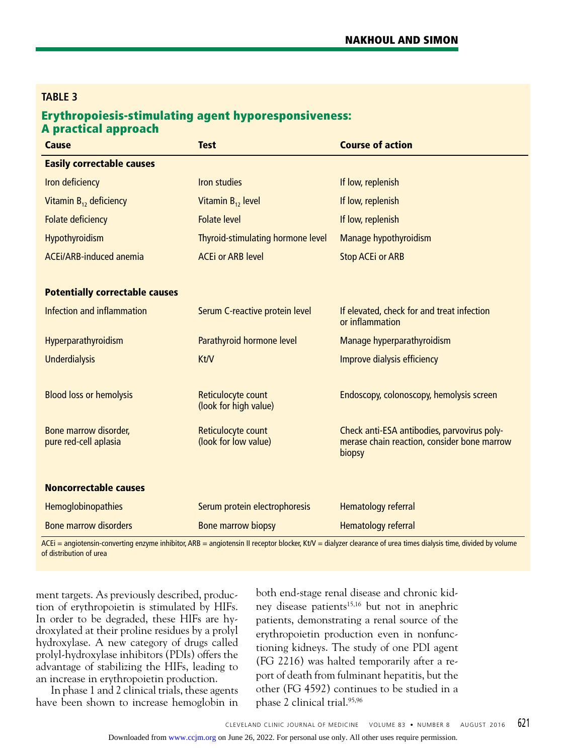#### **TABLE 3**

#### Erythropoiesis-stimulating agent hyporesponsiveness: A practical approach

| <b>Test</b>                                 | <b>Course of action</b>                                                                                                                                                                                                       |  |
|---------------------------------------------|-------------------------------------------------------------------------------------------------------------------------------------------------------------------------------------------------------------------------------|--|
|                                             |                                                                                                                                                                                                                               |  |
| <b>Iron studies</b>                         | If low, replenish                                                                                                                                                                                                             |  |
| Vitamin $B_{12}$ level                      | If low, replenish                                                                                                                                                                                                             |  |
| <b>Folate level</b>                         | If low, replenish                                                                                                                                                                                                             |  |
| Thyroid-stimulating hormone level           | Manage hypothyroidism                                                                                                                                                                                                         |  |
| <b>ACEi or ARB level</b>                    | <b>Stop ACEi or ARB</b>                                                                                                                                                                                                       |  |
|                                             |                                                                                                                                                                                                                               |  |
|                                             |                                                                                                                                                                                                                               |  |
| Serum C-reactive protein level              | If elevated, check for and treat infection<br>or inflammation                                                                                                                                                                 |  |
| Parathyroid hormone level                   | Manage hyperparathyroidism                                                                                                                                                                                                    |  |
| Kt/V                                        | Improve dialysis efficiency                                                                                                                                                                                                   |  |
|                                             |                                                                                                                                                                                                                               |  |
| Reticulocyte count<br>(look for high value) | Endoscopy, colonoscopy, hemolysis screen                                                                                                                                                                                      |  |
| Reticulocyte count<br>(look for low value)  | Check anti-ESA antibodies, parvovirus poly-<br>merase chain reaction, consider bone marrow<br>biopsy                                                                                                                          |  |
|                                             |                                                                                                                                                                                                                               |  |
| Serum protein electrophoresis               | Hematology referral                                                                                                                                                                                                           |  |
| <b>Bone marrow biopsy</b>                   | Hematology referral                                                                                                                                                                                                           |  |
|                                             | the second contract of the contract of the second contract of the contract of the contract of the contract of the contract of the contract of the contract of the contract of the contract of the contract of the contract of |  |

 $ACEi$  = angiotensin-converting enzyme inhibitor,  $ARB$  = angiotensin II receptor blocker, Kt/V = dialyzer clearance of urea times dialysis time, divided by volume of distribution of urea

ment targets. As previously described, production of erythropoietin is stimulated by HIFs. In order to be degraded, these HIFs are hydroxylated at their proline residues by a prolyl hydroxylase. A new category of drugs called prolyl-hydroxylase inhibitors (PDIs) offers the advantage of stabilizing the HIFs, leading to an increase in erythropoietin production.

In phase 1 and 2 clinical trials, these agents have been shown to increase hemoglobin in both end-stage renal disease and chronic kidney disease patients<sup>15,16</sup> but not in anephric patients, demonstrating a renal source of the erythropoietin production even in nonfunctioning kidneys. The study of one PDI agent (FG 2216) was halted temporarily after a report of death from fulminant hepatitis, but the other (FG 4592) continues to be studied in a phase 2 clinical trial.95,96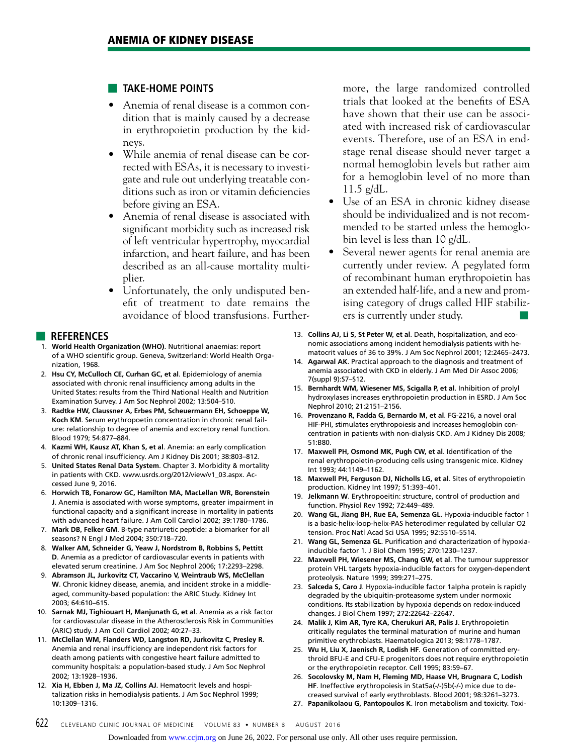#### ■ **TAKE-HOME POINTS**

- Anemia of renal disease is a common condition that is mainly caused by a decrease in erythropoietin production by the kidneys.
- While anemia of renal disease can be corrected with ESAs, it is necessary to investigate and rule out underlying treatable conditions such as iron or vitamin deficiencies before giving an ESA.
- Anemia of renal disease is associated with significant morbidity such as increased risk of left ventricular hypertrophy, myocardial infarction, and heart failure, and has been described as an all-cause mortality multiplier.
- Unfortunately, the only undisputed benefit of treatment to date remains the avoidance of blood transfusions. Further-

#### ■ **REFERENCES**

- 1. **World Health Organization (WHO)**. Nutritional anaemias: report of a WHO scientific group. Geneva, Switzerland: World Health Organization, 1968.
- 2. **Hsu CY, McCulloch CE, Curhan GC, et al**. Epidemiology of anemia associated with chronic renal insufficiency among adults in the United States: results from the Third National Health and Nutrition Examination Survey. J Am Soc Nephrol 2002; 13:504–510.
- 3. **Radtke HW, Claussner A, Erbes PM, Scheuermann EH, Schoeppe W, Koch KM**. Serum erythropoetin concentration in chronic renal failure: relationship to degree of anemia and excretory renal function. Blood 1979; 54:877–884.
- 4. **Kazmi WH, Kausz AT, Khan S, et al**. Anemia: an early complication of chronic renal insufficiency. Am J Kidney Dis 2001; 38:803–812.
- 5. **United States Renal Data System**. Chapter 3. Morbidity & mortality in patients with CKD. www.usrds.org/2012/view/v1\_03.aspx. Accessed June 9, 2016.
- 6. **Horwich TB, Fonarow GC, Hamilton MA, MacLellan WR, Borenstein J**. Anemia is associated with worse symptoms, greater impairment in functional capacity and a significant increase in mortality in patients with advanced heart failure. J Am Coll Cardiol 2002; 39:1780–1786.
- 7. **Mark DB, Felker GM**. B-type natriuretic peptide: a biomarker for all seasons? N Engl J Med 2004; 350:718–720.
- 8. **Walker AM, Schneider G, Yeaw J, Nordstrom B, Robbins S, Pettitt D**. Anemia as a predictor of cardiovascular events in patients with elevated serum creatinine. J Am Soc Nephrol 2006; 17:2293–2298.
- 9. **Abramson JL, Jurkovitz CT, Vaccarino V, Weintraub WS, McClellan W**. Chronic kidney disease, anemia, and incident stroke in a middleaged, community-based population: the ARIC Study. Kidney Int 2003; 64:610–615.
- 10. **Sarnak MJ, Tighiouart H, Manjunath G, et al**. Anemia as a risk factor for cardiovascular disease in the Atherosclerosis Risk in Communities (ARIC) study. J Am Coll Cardiol 2002; 40:27–33.
- 11. **McClellan WM, Flanders WD, Langston RD, Jurkovitz C, Presley R**. Anemia and renal insufficiency are independent risk factors for death among patients with congestive heart failure admitted to community hospitals: a population-based study. J Am Soc Nephrol 2002; 13:1928–1936.
- 12. **Xia H, Ebben J, Ma JZ, Collins AJ**. Hematocrit levels and hospitalization risks in hemodialysis patients. J Am Soc Nephrol 1999; 10:1309–1316.

more, the large randomized controlled trials that looked at the benefits of ESA have shown that their use can be associated with increased risk of cardiovascular events. Therefore, use of an ESA in endstage renal disease should never target a normal hemoglobin levels but rather aim for a hemoglobin level of no more than  $11.5$  g/dL.

- Use of an ESA in chronic kidney disease should be individualized and is not recommended to be started unless the hemoglobin level is less than 10 g/dL.
- Several newer agents for renal anemia are currently under review. A pegylated form of recombinant human erythropoietin has an extended half-life, and a new and promising category of drugs called HIF stabilizers is currently under study.
- 13. **Collins AJ, Li S, St Peter W, et al**. Death, hospitalization, and economic associations among incident hemodialysis patients with hematocrit values of 36 to 39%. J Am Soc Nephrol 2001; 12:2465–2473.
- 14. **Agarwal AK**. Practical approach to the diagnosis and treatment of anemia associated with CKD in elderly. J Am Med Dir Assoc 2006; 7(suppl 9):S7–S12.
- 15. **Bernhardt WM, Wiesener MS, Scigalla P, et al**. Inhibition of prolyl hydroxylases increases erythropoietin production in ESRD. J Am Soc Nephrol 2010; 21:2151–2156.
- 16. **Provenzano R, Fadda G, Bernardo M, et al**. FG-2216, a novel oral HIF-PHI, stimulates erythropoiesis and increases hemoglobin concentration in patients with non-dialysis CKD. Am J Kidney Dis 2008; 51:B80.
- 17. **Maxwell PH, Osmond MK, Pugh CW, et al**. Identification of the renal erythropoietin-producing cells using transgenic mice. Kidney Int 1993; 44:1149–1162.
- 18. **Maxwell PH, Ferguson DJ, Nicholls LG, et al**. Sites of erythropoietin production. Kidney Int 1997; 51:393–401.
- 19. **Jelkmann W**. Erythropoeitin: structure, control of production and function. Physiol Rev 1992; 72:449–489.
- 20. **Wang GL, Jiang BH, Rue EA, Semenza GL**. Hypoxia-inducible factor 1 is a basic-helix-loop-helix-PAS heterodimer regulated by cellular O2 tension. Proc Natl Acad Sci USA 1995; 92:5510–5514.
- 21. **Wang GL, Semenza GL**. Purification and characterization of hypoxiainducible factor 1. J Biol Chem 1995; 270:1230–1237.
- 22. **Maxwell PH, Wiesener MS, Chang GW, et al**. The tumour suppressor protein VHL targets hypoxia-inducible factors for oxygen-dependent proteolysis. Nature 1999; 399:271–275.
- 23. **Salceda S, Caro J**. Hypoxia-inducible factor 1alpha protein is rapidly degraded by the ubiquitin-proteasome system under normoxic conditions. Its stabilization by hypoxia depends on redox-induced changes. J Biol Chem 1997; 272:22642–22647.
- 24. **Malik J, Kim AR, Tyre KA, Cherukuri AR, Palis J**. Erythropoietin critically regulates the terminal maturation of murine and human primitive erythroblasts. Haematologica 2013; 98:1778–1787.
- 25. **Wu H, Liu X, Jaenisch R, Lodish HF**. Generation of committed erythroid BFU-E and CFU-E progenitors does not require erythropoietin or the erythropoietin receptor. Cell 1995; 83:59–67.
- 26. **Socolovsky M, Nam H, Fleming MD, Haase VH, Brugnara C, Lodish HF**. Ineffective erythropoiesis in Stat5a(-/-)5b(-/-) mice due to decreased survival of early erythroblasts. Blood 2001; 98:3261–3273.
- 27. **Papanikolaou G, Pantopoulos K**. Iron metabolism and toxicity. Toxi-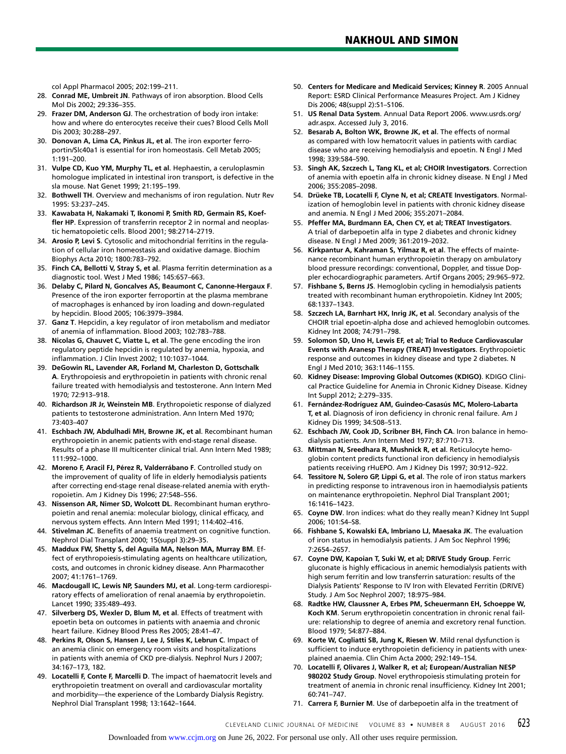col Appl Pharmacol 2005; 202:199–211.

- 28. **Conrad ME, Umbreit JN**. Pathways of iron absorption. Blood Cells Mol Dis 2002; 29:336–355.
- 29. **Frazer DM, Anderson GJ**. The orchestration of body iron intake: how and where do enterocytes receive their cues? Blood Cells Moll Dis 2003; 30:288–297.
- 30. **Donovan A, Lima CA, Pinkus JL, et al**. The iron exporter ferroportin/Slc40a1 is essential for iron homeostasis. Cell Metab 2005; 1:191–200.
- 31. **Vulpe CD, Kuo YM, Murphy TL, et al**. Hephaestin, a ceruloplasmin homologue implicated in intestinal iron transport, is defective in the sla mouse. Nat Genet 1999; 21:195–199.
- 32. **Bothwell TH**. Overview and mechanisms of iron regulation. Nutr Rev 1995: 53:237–245.
- 33. **Kawabata H, Nakamaki T, Ikonomi P, Smith RD, Germain RS, Koeffler HP**. Expression of transferrin receptor 2 in normal and neoplastic hematopoietic cells. Blood 2001; 98:2714–2719.
- 34. **Arosio P, Levi S**. Cytosolic and mitochondrial ferritins in the regulation of cellular iron homeostasis and oxidative damage. Biochim Biophys Acta 2010; 1800:783–792.
- 35. **Finch CA, Bellotti V, Stray S, et al**. Plasma ferritin determination as a diagnostic tool. West J Med 1986; 145:657–663.
- 36. **Delaby C, Pilard N, Goncalves AS, Beaumont C, Canonne-Hergaux F**. Presence of the iron exporter ferroportin at the plasma membrane of macrophages is enhanced by iron loading and down-regulated by hepcidin. Blood 2005; 106:3979–3984.
- 37. **Ganz T**. Hepcidin, a key regulator of iron metabolism and mediator of anemia of inflammation. Blood 2003; 102:783–788.
- 38. **Nicolas G, Chauvet C, Viatte L, et al**. The gene encoding the iron regulatory peptide hepcidin is regulated by anemia, hypoxia, and inflammation. J Clin Invest 2002; 110:1037–1044.
- 39. **DeGowin RL, Lavender AR, Forland M, Charleston D, Gottschalk A**. Erythropoiesis and erythropoietin in patients with chronic renal failure treated with hemodialysis and testosterone. Ann Intern Med 1970; 72:913–918.
- 40. **Richardson JR Jr, Weinstein MB**. Erythropoietic response of dialyzed patients to testosterone administration. Ann Intern Med 1970; 73:403–407
- 41. **Eschbach JW, Abdulhadi MH, Browne JK, et al**. Recombinant human erythropoietin in anemic patients with end-stage renal disease. Results of a phase III multicenter clinical trial. Ann Intern Med 1989; 111:992–1000.
- 42. **Moreno F, Aracil FJ, Pérez R, Valderrábano F**. Controlled study on the improvement of quality of life in elderly hemodialysis patients after correcting end-stage renal disease-related anemia with erythropoietin. Am J Kidney Dis 1996; 27:548–556.
- 43. **Nissenson AR, Nimer SD, Wolcott DL**. Recombinant human erythropoietin and renal anemia: molecular biology, clinical efficacy, and nervous system effects. Ann Intern Med 1991; 114:402–416.
- 44. **Stivelman JC**. Benefits of anaemia treatment on cognitive function. Nephrol Dial Transplant 2000; 15(suppl 3):29–35.
- 45. **Maddux FW, Shetty S, del Aguila MA, Nelson MA, Murray BM**. Effect of erythropoiesis-stimulating agents on healthcare utilization, costs, and outcomes in chronic kidney disease. Ann Pharmacother 2007; 41:1761–1769.
- 46. **Macdougall IC, Lewis NP, Saunders MJ, et al**. Long-term cardiorespiratory effects of amelioration of renal anaemia by erythropoietin. Lancet 1990; 335:489–493.
- 47. **Silverberg DS, Wexler D, Blum M, et al**. Effects of treatment with epoetin beta on outcomes in patients with anaemia and chronic heart failure. Kidney Blood Press Res 2005; 28:41–47.
- 48. **Perkins R, Olson S, Hansen J, Lee J, Stiles K, Lebrun C**. Impact of an anemia clinic on emergency room visits and hospitalizations in patients with anemia of CKD pre-dialysis. Nephrol Nurs J 2007; 34:167–173, 182.
- 49. **Locatelli F, Conte F, Marcelli D**. The impact of haematocrit levels and erythropoietin treatment on overall and cardiovascular mortality and morbidity—the experience of the Lombardy Dialysis Registry. Nephrol Dial Transplant 1998; 13:1642–1644.
- 50. **Centers for Medicare and Medicaid Services; Kinney R**. 2005 Annual Report: ESRD Clinical Performance Measures Project. Am J Kidney Dis 2006; 48(suppl 2):S1–S106.
- 51. **US Renal Data System**. Annual Data Report 2006. www.usrds.org/ adr.aspx. Accessed July 3, 2016.
- 52. **Besarab A, Bolton WK, Browne JK, et al**. The effects of normal as compared with low hematocrit values in patients with cardiac disease who are receiving hemodialysis and epoetin. N Engl J Med 1998; 339:584–590.
- 53. **Singh AK, Szczech L, Tang KL, et al; CHOIR Investigators**. Correction of anemia with epoetin alfa in chronic kidney disease. N Engl J Med 2006; 355:2085–2098.
- 54. **Drüeke TB, Locatelli F, Clyne N, et al; CREATE Investigators**. Normalization of hemoglobin level in patients with chronic kidney disease and anemia. N Engl J Med 2006; 355:2071–2084.
- 55. **Pfeffer MA, Burdmann EA, Chen CY, et al; TREAT Investigators**. A trial of darbepoetin alfa in type 2 diabetes and chronic kidney disease. N Engl J Med 2009; 361:2019–2032.
- 56. **Kirkpantur A, Kahraman S, Yilmaz R, et al**. The effects of maintenance recombinant human erythropoietin therapy on ambulatory blood pressure recordings: conventional, Doppler, and tissue Doppler echocardiographic parameters. Artif Organs 2005; 29:965–972.
- 57. **Fishbane S, Berns JS**. Hemoglobin cycling in hemodialysis patients treated with recombinant human erythropoietin. Kidney Int 2005; 68:1337–1343.
- 58. **Szczech LA, Barnhart HX, Inrig JK, et al**. Secondary analysis of the CHOIR trial epoetin-alpha dose and achieved hemoglobin outcomes. Kidney Int 2008; 74:791–798.
- 59. **Solomon SD, Uno H, Lewis EF, et al; Trial to Reduce Cardiovascular Events with Aranesp Therapy (TREAT) Investigators**. Erythropoietic response and outcomes in kidney disease and type 2 diabetes. N Engl J Med 2010; 363:1146–1155.
- 60. **Kidney Disease: Improving Global Outcomes (KDIGO)**. KDIGO Clinical Practice Guideline for Anemia in Chronic Kidney Disease. Kidney Int Suppl 2012; 2:279–335.
- 61. **Fernández-Rodríguez AM, Guindeo-Casasús MC, Molero-Labarta T, et al**. Diagnosis of iron deficiency in chronic renal failure. Am J Kidney Dis 1999; 34:508–513.
- 62. **Eschbach JW, Cook JD, Scribner BH, Finch CA**. Iron balance in hemodialysis patients. Ann Intern Med 1977; 87:710–713.
- 63. **Mittman N, Sreedhara R, Mushnick R, et al**. Reticulocyte hemoglobin content predicts functional iron deficiency in hemodialysis patients receiving rHuEPO. Am J Kidney Dis 1997; 30:912–922.
- 64. **Tessitore N, Solero GP, Lippi G, et al**. The role of iron status markers in predicting response to intravenous iron in haemodialysis patients on maintenance erythropoietin. Nephrol Dial Transplant 2001; 16:1416–1423.
- 65. **Coyne DW**. Iron indices: what do they really mean? Kidney Int Suppl 2006; 101:S4–S8.
- 66. **Fishbane S, Kowalski EA, Imbriano LJ, Maesaka JK**. The evaluation of iron status in hemodialysis patients. J Am Soc Nephrol 1996; 7:2654–2657.
- 67. **Coyne DW, Kapoian T, Suki W, et al; DRIVE Study Group**. Ferric gluconate is highly efficacious in anemic hemodialysis patients with high serum ferritin and low transferrin saturation: results of the Dialysis Patients' Response to IV Iron with Elevated Ferritin (DRIVE) Study. J Am Soc Nephrol 2007; 18:975–984.
- 68. **Radtke HW, Claussner A, Erbes PM, Scheuermann EH, Schoeppe W, Koch KM**. Serum erythropoietin concentration in chronic renal failure: relationship to degree of anemia and excretory renal function. Blood 1979; 54:877–884.
- 69. **Korte W, Cogliatti SB, Jung K, Riesen W**. Mild renal dysfunction is sufficient to induce erythropoietin deficiency in patients with unexplained anaemia. Clin Chim Acta 2000; 292:149–154.
- 70. **Locatelli F, Olivares J, Walker R, et al; European/Australian NESP 980202 Study Group**. Novel erythropoiesis stimulating protein for treatment of anemia in chronic renal insufficiency. Kidney Int 2001; 60:741–747.
- 71. **Carrera F, Burnier M**. Use of darbepoetin alfa in the treatment of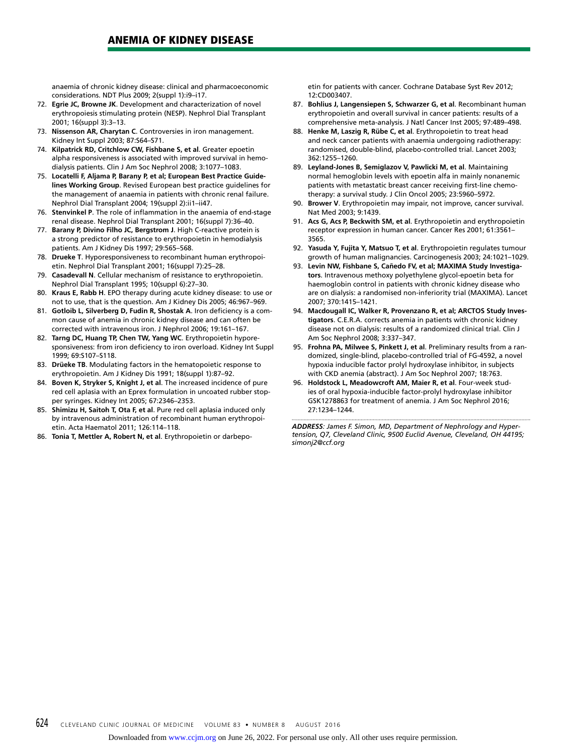anaemia of chronic kidney disease: clinical and pharmacoeconomic considerations. NDT Plus 2009; 2(suppl 1):i9–i17.

- 72. **Egrie JC, Browne JK**. Development and characterization of novel erythropoiesis stimulating protein (NESP). Nephrol Dial Transplant 2001; 16(suppl 3):3–13.
- 73. **Nissenson AR, Charytan C**. Controversies in iron management. Kidney Int Suppl 2003; 87:S64–S71.
- 74. **Kilpatrick RD, Critchlow CW, Fishbane S, et al**. Greater epoetin alpha responsiveness is associated with improved survival in hemodialysis patients. Clin J Am Soc Nephrol 2008; 3:1077–1083.
- 75. **Locatelli F, Aljama P, Barany P, et al; European Best Practice Guidelines Working Group**. Revised European best practice guidelines for the management of anaemia in patients with chronic renal failure. Nephrol Dial Transplant 2004; 19(suppl 2):ii1–ii47.
- 76. **Stenvinkel P**. The role of inflammation in the anaemia of end-stage renal disease. Nephrol Dial Transplant 2001; 16(suppl 7):36–40.
- 77. **Barany P, Divino Filho JC, Bergstrom J**. High C-reactive protein is a strong predictor of resistance to erythropoietin in hemodialysis patients. Am J Kidney Dis 1997; 29:565–568.
- 78. **Drueke T**. Hyporesponsiveness to recombinant human erythropoietin. Nephrol Dial Transplant 2001; 16(suppl 7):25–28.
- 79. **Casadevall N**. Cellular mechanism of resistance to erythropoietin. Nephrol Dial Transplant 1995; 10(suppl 6):27–30.
- 80. **Kraus E, Rabb H**. EPO therapy during acute kidney disease: to use or not to use, that is the question. Am J Kidney Dis 2005; 46:967–969.
- 81. **Gotloib L, Silverberg D, Fudin R, Shostak A**. Iron deficiency is a common cause of anemia in chronic kidney disease and can often be corrected with intravenous iron. J Nephrol 2006; 19:161–167.
- 82. **Tarng DC, Huang TP, Chen TW, Yang WC**. Erythropoietin hyporesponsiveness: from iron deficiency to iron overload. Kidney Int Suppl 1999; 69:S107–S118.
- 83. **Drüeke TB**. Modulating factors in the hematopoietic response to erythropoietin. Am J Kidney Dis 1991; 18(suppl 1):87–92.
- 84. **Boven K, Stryker S, Knight J, et al**. The increased incidence of pure red cell aplasia with an Eprex formulation in uncoated rubber stopper syringes. Kidney Int 2005; 67:2346–2353.
- 85. **Shimizu H, Saitoh T, Ota F, et al**. Pure red cell aplasia induced only by intravenous administration of recombinant human erythropoietin. Acta Haematol 2011; 126:114–118.
- 86. **Tonia T, Mettler A, Robert N, et al**. Erythropoietin or darbepo-

etin for patients with cancer. Cochrane Database Syst Rev 2012; 12:CD003407.

- 87. **Bohlius J, Langensiepen S, Schwarzer G, et al**. Recombinant human erythropoietin and overall survival in cancer patients: results of a comprehensive meta-analysis. J Natl Cancer Inst 2005; 97:489–498.
- 88. **Henke M, Laszig R, Rübe C, et al**. Erythropoietin to treat head and neck cancer patients with anaemia undergoing radiotherapy: randomised, double-blind, placebo-controlled trial. Lancet 2003; 362:1255–1260.
- 89. **Leyland-Jones B, Semiglazov V, Pawlicki M, et al**. Maintaining normal hemoglobin levels with epoetin alfa in mainly nonanemic patients with metastatic breast cancer receiving first-line chemotherapy: a survival study. J Clin Oncol 2005; 23:5960–5972.
- 90. **Brower V**. Erythropoietin may impair, not improve, cancer survival. Nat Med 2003; 9:1439.
- 91. **Acs G, Acs P, Beckwith SM, et al**. Erythropoietin and erythropoietin receptor expression in human cancer. Cancer Res 2001; 61:3561– 3565.
- 92. **Yasuda Y, Fujita Y, Matsuo T, et al**. Erythropoietin regulates tumour growth of human malignancies. Carcinogenesis 2003; 24:1021–1029.
- 93. **Levin NW, Fishbane S, Cañedo FV, et al; MAXIMA Study Investigators**. Intravenous methoxy polyethylene glycol-epoetin beta for haemoglobin control in patients with chronic kidney disease who are on dialysis: a randomised non-inferiority trial (MAXIMA). Lancet 2007; 370:1415–1421.
- 94. **Macdougall IC, Walker R, Provenzano R, et al; ARCTOS Study Investigators**. C.E.R.A. corrects anemia in patients with chronic kidney disease not on dialysis: results of a randomized clinical trial. Clin J Am Soc Nephrol 2008; 3:337–347.
- 95. **Frohna PA, Milwee S, Pinkett J, et al**. Preliminary results from a randomized, single-blind, placebo-controlled trial of FG-4592, a novel hypoxia inducible factor prolyl hydroxylase inhibitor, in subjects with CKD anemia (abstract). J Am Soc Nephrol 2007; 18:763.
- 96. **Holdstock L, Meadowcroft AM, Maier R, et al**. Four-week studies of oral hypoxia-inducible factor-prolyl hydroxylase inhibitor GSK1278863 for treatment of anemia. J Am Soc Nephrol 2016; 27:1234–1244.

*ADDRESS: James F. Simon, MD, Department of Nephrology and Hypertension, Q7, Cleveland Clinic, 9500 Euclid Avenue, Cleveland, OH 44195; simonj2@ccf.org*